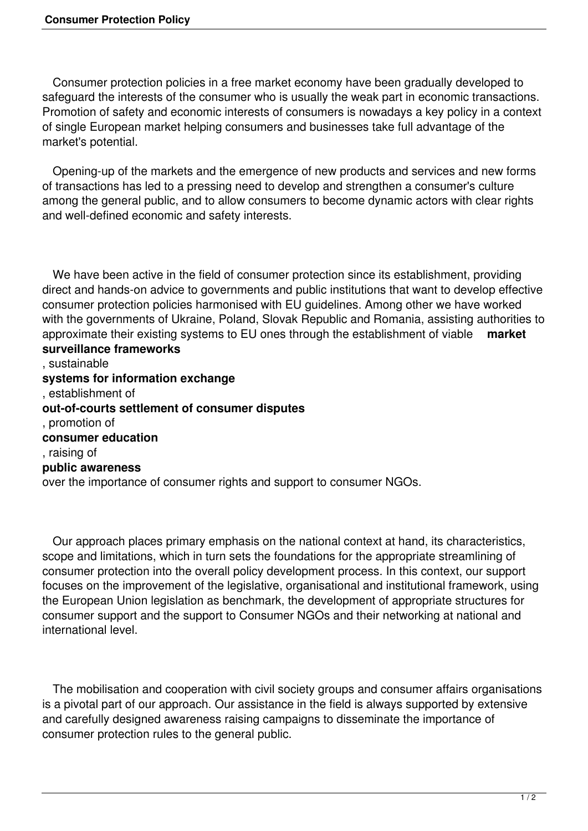Consumer protection policies in a free market economy have been gradually developed to safeguard the interests of the consumer who is usually the weak part in economic transactions. Promotion of safety and economic interests of consumers is nowadays a key policy in a context of single European market helping consumers and businesses take full advantage of the market's potential.

 Opening-up of the markets and the emergence of new products and services and new forms of transactions has led to a pressing need to develop and strengthen a consumer's culture among the general public, and to allow consumers to become dynamic actors with clear rights and well-defined economic and safety interests.

 We have been active in the field of consumer protection since its establishment, providing direct and hands-on advice to governments and public institutions that want to develop effective consumer protection policies harmonised with EU guidelines. Among other we have worked with the governments of Ukraine, Poland, Slovak Republic and Romania, assisting authorities to approximate their existing systems to EU ones through the establishment of viable **market surveillance frameworks** , sustainable **systems for information exchange** , establishment of **out-of-courts settlement of consumer disputes**

, promotion of **consumer education**

, raising of

## **public awareness**

over the importance of consumer rights and support to consumer NGOs.

 Our approach places primary emphasis on the national context at hand, its characteristics, scope and limitations, which in turn sets the foundations for the appropriate streamlining of consumer protection into the overall policy development process. In this context, our support focuses on the improvement of the legislative, organisational and institutional framework, using the European Union legislation as benchmark, the development of appropriate structures for consumer support and the support to Consumer NGOs and their networking at national and international level.

 The mobilisation and cooperation with civil society groups and consumer affairs organisations is a pivotal part of our approach. Our assistance in the field is always supported by extensive and carefully designed awareness raising campaigns to disseminate the importance of consumer protection rules to the general public.